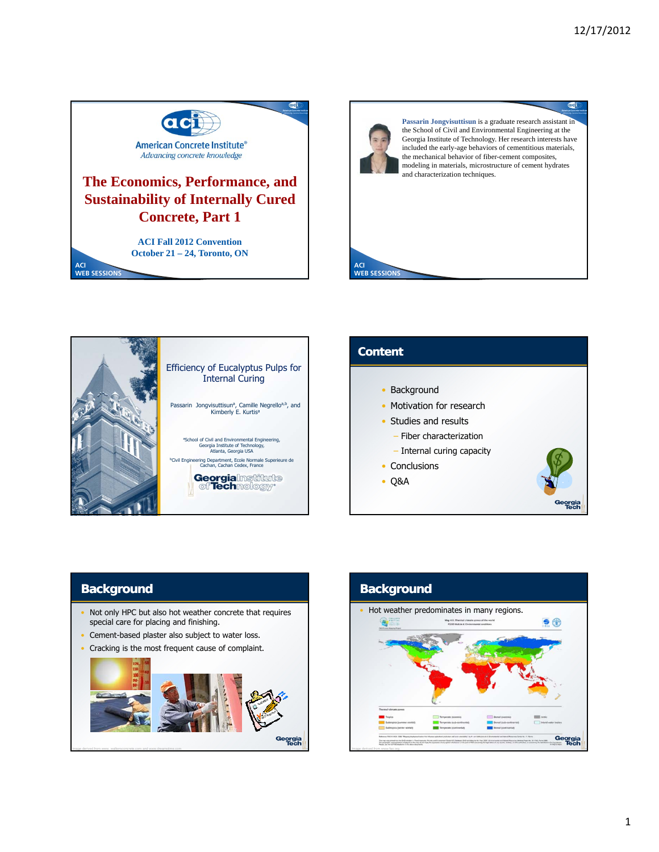



**ACI WEB SESSIONS**

**Passarin Jongvisuttisun** is a graduate research assistant in the School of Civil and Environmental Engineering at the Georgia Institute of Technology. Her research interests have included the early-age behaviors of cementitious materials, the mechanical behavior of fiber-cement composites, modeling in materials, microstructure of cement hydrates and characterization techniques.



# **Content** • Background

- Motivation for research
- Studies and results
- Fiber characterization
- Internal curing capacity
- Conclusions
- Q&A



### **Background**

- Not only HPC but also hot weather concrete that requires special care for placing and finishing.
- Cement-based plaster also subject to water loss.
- Cracking is the most frequent cause of complaint.



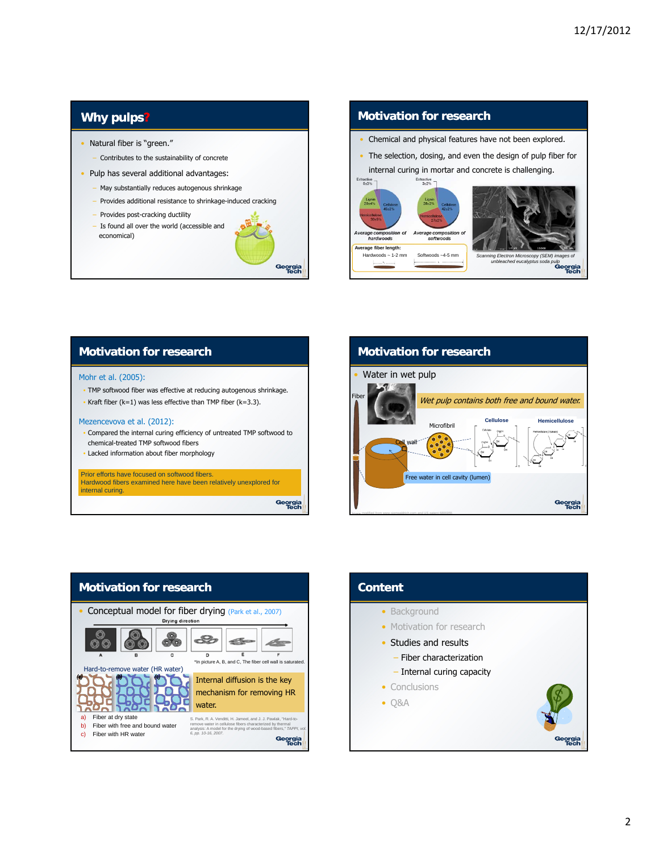### **Why pulps?**

- Natural fiber is "green."
	- ‒ Contributes to the sustainability of concrete
- Pulp has several additional advantages:
	- May substantially reduces autogenous shrinkage
	- Provides additional resistance to shrinkage-induced cracking
	- Provides post-cracking ductility
	- Is found all over the world (accessible and economical)



#### **Motivation for research**

- Chemical and physical features have not been explored.
- The selection, dosing, and even the design of pulp fiber for internal curing in mortar and concrete is challenging.



### **Motivation for research**

#### Mohr et al. (2005):

- TMP softwood fiber was effective at reducing autogenous shrinkage.
- Kraft fiber  $(k=1)$  was less effective than TMP fiber  $(k=3.3)$ .

#### Mezencevova et al. (2012):

- Compared the internal curing efficiency of untreated TMP softwood to chemical-treated TMP softwood fibers
- Lacked information about fiber morphology

Prior efforts have focused on softwood fibers. Hardwood fibers examined here have been relatively unexplored for internal curing.

Georgia<br>Tech





| Georg |
|-------|
|       |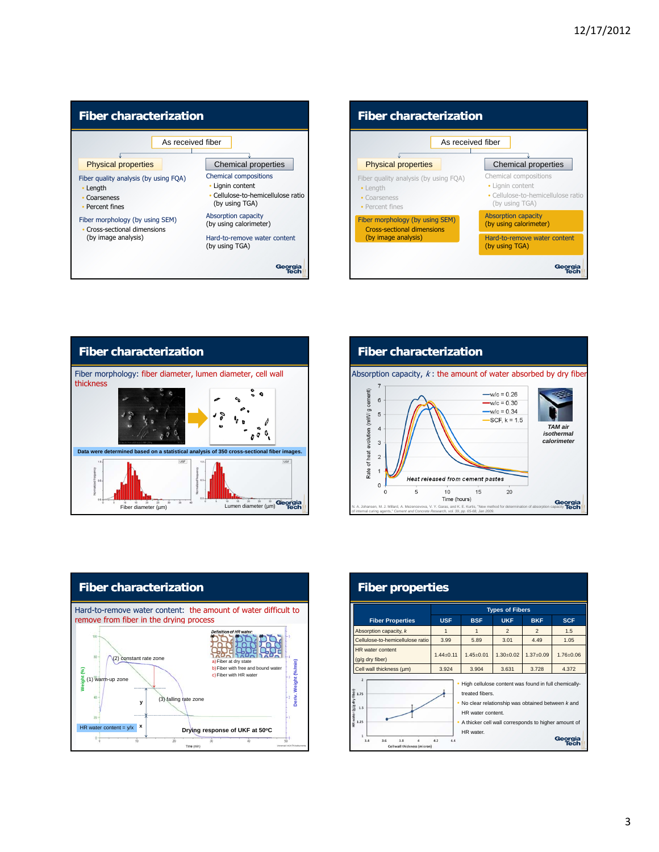









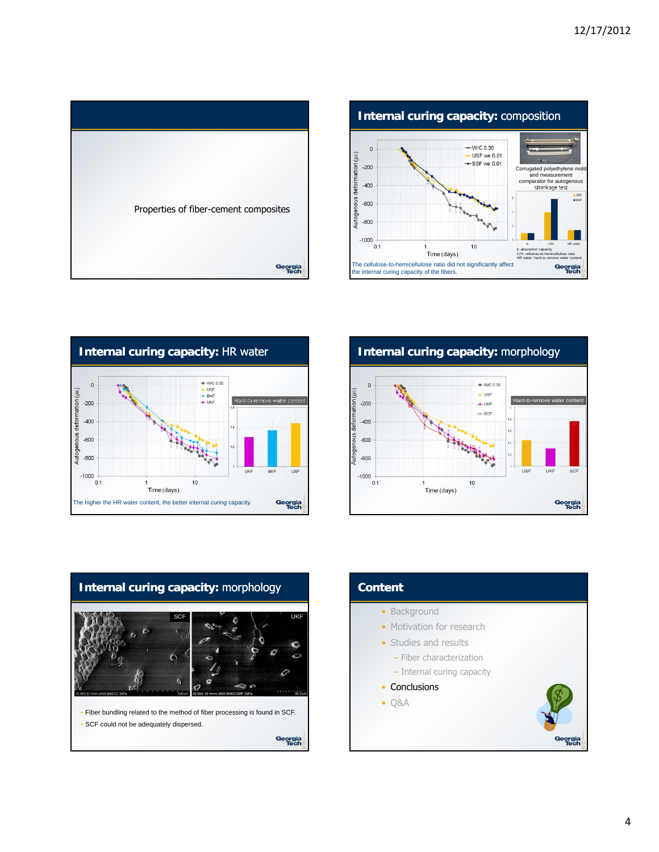









## **Content** • Background • Motivation for research • Studies and results – Fiber characterization – Internal curing capacity • Conclusions • Q&AGeorgia<br>Tech